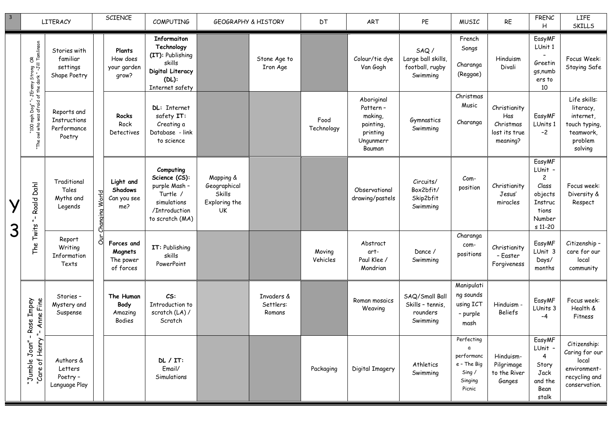| $\overline{3}$ |                                                                   | <b>LITERACY</b>                                             |               | <b>SCIENCE</b>                                    | <b>COMPUTING</b>                                                                                                  | <b>GEOGRAPHY &amp; HISTORY</b>                                           |                                   | DT                 | ART                                                                               | PE                                                         | <b>MUSIC</b>                                                                | <b>RE</b>                                                     | <b>FRENC</b><br>H                                                                              | LIFE<br><b>SKILLS</b>                                                                      |                     |                               |                                         |                                      |                                                     |
|----------------|-------------------------------------------------------------------|-------------------------------------------------------------|---------------|---------------------------------------------------|-------------------------------------------------------------------------------------------------------------------|--------------------------------------------------------------------------|-----------------------------------|--------------------|-----------------------------------------------------------------------------------|------------------------------------------------------------|-----------------------------------------------------------------------------|---------------------------------------------------------------|------------------------------------------------------------------------------------------------|--------------------------------------------------------------------------------------------|---------------------|-------------------------------|-----------------------------------------|--------------------------------------|-----------------------------------------------------|
|                | Dog" "- JEremy Strong  OR<br>afraid of the dark " -Jill Tomlinson | Stories with<br>familiar<br>settings<br>Shape Poetry        |               | Plants<br>How does<br>your garden<br>grow?        | <b>Informaiton</b><br>Technology<br>(IT): Publishing<br>skills<br>Digital Literacy<br>$(DL)$ :<br>Internet safety |                                                                          | Stone Age to<br>Iron Age          |                    | Colour/tie dye<br>Van Gogh                                                        | SAQ/<br>Large ball skills,<br>football, rugby<br>Swimming  | French<br>Songs<br>Charanga<br>(Reggae)                                     | Hinduism<br>Divali                                            | EasyMF<br>LUnit 1<br>Greetin<br>gs, numb<br>ers to<br>10                                       | Focus Week:<br>Staying Safe                                                                |                     |                               |                                         |                                      |                                                     |
|                | mph<br>was<br>1001"<br>1001"<br>"The                              | Reports and<br><b>Instructions</b><br>Performance<br>Poetry |               | Rocks<br>Rock<br>Detectives                       | DL: Internet<br>safety IT:<br>Creating a<br>Database - link<br>to science                                         |                                                                          |                                   | Food<br>Technology | Aboriginal<br>Pattern-<br>making,<br>painting,<br>printing<br>Ungunmerr<br>Bauman | Gymnastics<br>Swimming                                     | Christmas<br>Music<br>Charanga                                              | Christianity<br>Has<br>Christmas<br>lost its true<br>meaning? | EasyMF<br>LUnits 1<br>$-2$                                                                     | Life skills:<br>literacy,<br>internet.<br>touch typing,<br>teamwork,<br>problem<br>solving |                     |                               |                                         |                                      |                                                     |
| Y<br>3         | Roald Dahl<br>$\mathbf{r}$                                        | Traditional<br>Tales<br>Myths and<br>Legends                | nanging World | Light and<br><b>Shadows</b><br>Can you see<br>me? | Computing<br>Science (CS):<br>purple Mash -<br>Turtle /<br>simulations<br>/Introduction<br>to scratch (MA)        | Mapping &<br>Geographical<br><b>Skills</b><br>Exploring the<br><b>UK</b> |                                   |                    | Observational<br>drawing/pastels                                                  | Circuits/<br>Box2bfit/<br>Skip2bfit<br>Swimming            | Com-<br>position                                                            | Christianity<br>Jesus'<br>miracles                            | EasyMF<br>LUnit -<br>$\mathbf{2}$<br>Class<br>objects<br>Instruc<br>tions<br>Number<br>s 11-20 | Focus week:<br>Diversity &<br>Respect                                                      |                     |                               |                                         |                                      |                                                     |
|                | Twits<br>The                                                      | Report<br>Writing<br>Information<br>Texts                   | კ             |                                                   |                                                                                                                   |                                                                          |                                   |                    | Forces and<br>Magnets<br>The power<br>of forces                                   | IT: Publishing<br>skills<br>PowerPoint                     |                                                                             |                                                               | Moving<br>Vehicles                                                                             | Abstract<br>art-<br>Paul Klee /<br>Mondrian                                                | Dance /<br>Swimming | Charanga<br>com-<br>positions | Christianity<br>- Easter<br>Forgiveness | EasyMF<br>LUnit 3<br>Days/<br>months | Citizenship -<br>care for our<br>local<br>community |
|                | Rose Impey<br>Anne Fine                                           | Stories -<br>Mystery and<br>Suspense                        |               | The Human<br>Body<br>Amazing<br>Bodies            | CS:<br>Introduction to<br>scratch (LA) /<br>Scratch                                                               |                                                                          | Invaders &<br>Settlers:<br>Romans |                    | Roman mosaics<br>Weaving                                                          | SAQ/Small Ball<br>Skills - tennis,<br>rounders<br>Swimming | Manipulati<br>ng sounds<br>using ICT<br>- purple<br>mash                    | Hinduism -<br><b>Beliefs</b>                                  | EasyMF<br>LUnits 3<br>$-4$                                                                     | Focus week:<br>Health &<br>Fitness                                                         |                     |                               |                                         |                                      |                                                     |
|                | $\mathbf{I}$<br>Joan''<br>Henry<br>"Jumble<br>t<br>"Care          | Authors &<br>Letters<br>Poetry -<br>Language Play           |               |                                                   | $DL/IT$ :<br>Email/<br>Simulations                                                                                |                                                                          |                                   | Packaging          | Digital Imagery                                                                   | Athletics<br>Swimming                                      | Perfecting<br>a<br>performanc<br>e - The Big<br>Sing /<br>Singing<br>Picnic | Hinduism-<br>Pilgrimage<br>to the River<br>Ganges             | EasyMF<br>LUnit -<br>4<br>Story<br>Jack<br>and the<br>Bean<br>stalk                            | Citizenship:<br>Caring for our<br>local<br>environment-<br>recycling and<br>conservation.  |                     |                               |                                         |                                      |                                                     |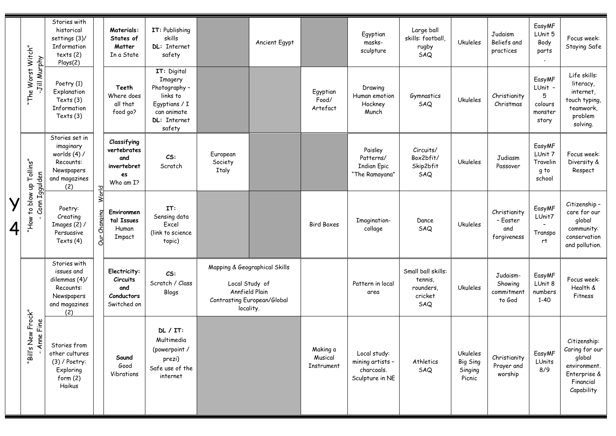|   |                                           | Stories with<br>historical<br>settings (3)/<br>Information<br>texts(2)<br>Plays(2)             |                        |                                                                     | <b>Materials:</b><br>States of<br>Matter<br>In a State                                                               | IT: Publishing<br>skills<br>DL: Internet<br>safety                                                            |  | Ancient Egypt                     |                                                                   | Egyptian<br>masks-<br>sculpture                              | Large ball<br>skills: football,<br>rugby<br>SAQ | <b>Ukuleles</b>                                | Judaism<br>Beliefs and<br>practices                   | EasyMF<br>LUnit 5<br>Body<br>parts                                                                  | Focus week:<br>Staying Safe |
|---|-------------------------------------------|------------------------------------------------------------------------------------------------|------------------------|---------------------------------------------------------------------|----------------------------------------------------------------------------------------------------------------------|---------------------------------------------------------------------------------------------------------------|--|-----------------------------------|-------------------------------------------------------------------|--------------------------------------------------------------|-------------------------------------------------|------------------------------------------------|-------------------------------------------------------|-----------------------------------------------------------------------------------------------------|-----------------------------|
|   | "The Worst Witch"<br>Jill Murphy          | Poetry (1)<br>Explanation<br>Texts (3)<br>Information<br>Texts $(3)$                           |                        | Teeth<br>Where does<br>all that<br>food go?                         | IT: Digital<br><b>Imagery</b><br>Photography -<br>links to<br>Egyptians / I<br>can animate<br>DL: Internet<br>safety |                                                                                                               |  | Egyptian<br>Food/<br>Artefact     | Drawing<br>Human emotion<br>Hockney<br>Munch                      | Gymnastics<br>SAQ                                            | <b>Ukuleles</b>                                 | Christianity<br>Christmas                      | EasyMF<br>LUnit -<br>5<br>colours<br>monster<br>story | Life skills:<br>literacy,<br>internet,<br>touch typing,<br>teamwork,<br>problem<br>solving.         |                             |
|   |                                           | Stories set in<br>imaginary<br>worlds (4) /<br>Recounts:<br>Newspapers<br>and magazines<br>(2) |                        | Classifying<br>vertebrates<br>and<br>invertebret<br>es<br>Who am I? | CS:<br>Scratch                                                                                                       | European<br>Society<br>Italy                                                                                  |  |                                   | Paisley<br>Patterns/<br><b>Indian Epic</b><br>"The Ramayana"      | Circuits/<br>Box2bfit/<br>Skip2bfit<br>SAQ                   | <b>Ukuleles</b>                                 | Judiasm<br>Passover                            | EasyMF<br>LUnit 7<br>Travelin<br>g to<br>school       | Focus week:<br>Diversity &<br>Respect                                                               |                             |
| 4 | "How to blow up Tollins"<br>Conn Iggulden | Poetry:<br>Creating<br>Images $(2)$ /<br>Persuasive<br>Texts (4)                               | World<br>Changing<br>ā | Environmen<br>tal Issues<br>Human<br>Impact                         | IT:<br>Sensing data<br>Excel<br>(link to science<br>topic)                                                           |                                                                                                               |  | <b>Bird Boxes</b>                 | Imagination-<br>collage                                           | Dance<br>SAQ                                                 | <b>Ukuleles</b>                                 | Christianity<br>- Easter<br>and<br>forgiveness | EasyMF<br>LUnit7<br>Transpo<br>rt.                    | Citizenship -<br>care for our<br>global<br>community:<br>conservation<br>and pollution.             |                             |
|   |                                           | Stories with<br>issues and<br>dilemmas (4)/<br>Recounts:<br>Newspapers<br>and magazines<br>(2) |                        | Electricity:<br>Circuits<br>and<br>Conductors<br>Switched on        | CS:<br>Scratch / Class<br>Blogs                                                                                      | Mapping & Geographical Skills<br>Local Study of<br>Annfield Plain<br>Contrasting European/Global<br>locality. |  |                                   | Pattern in local<br>area                                          | Small ball skills:<br>tennis,<br>rounders,<br>cricket<br>SAQ | <b>Ukuleles</b>                                 | Judaism-<br>Showing<br>commitment<br>to God    | EasyMF<br>LUnit 8<br>numbers<br>$1 - 40$              | Focus week:<br>Health &<br>Fitness                                                                  |                             |
|   | "Bill's New Frock"<br>ne Fine<br>₹        | Stories from<br>other cultures<br>$(3)$ / Poetry:<br>Exploring<br>form(2)<br>Haikus            |                        | Sound<br>Good<br>Vibrations                                         | DL/IT:<br>Multimedia<br>(powerpoint /<br>prezi)<br>Safe use of the<br>internet                                       |                                                                                                               |  | Making a<br>Musical<br>Instrument | Local study:<br>mining artists -<br>charcoals.<br>Sculpture in NE | Athletics<br>SAQ                                             | Ukuleles<br>Big Sing<br>Singing<br>Picnic       | Christianity<br>Prayer and<br>worship          | EasyMF<br>LUnits<br>8/9                               | Citizenship:<br>Caring for our<br>global<br>environment.<br>Enterprise &<br>Financial<br>Capability |                             |

 $\blacksquare$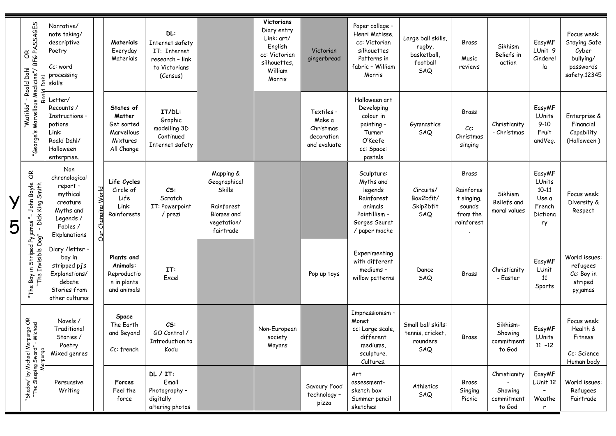|   | BFG PASSAGES<br>$\mathfrak{S}$<br>- Roald Dahl<br>Medicine"/            | Narrative/<br>note taking/<br>descriptive<br>Poetry<br>Cc: word<br>processing<br>skills                       |                          | Materials<br>Everyday<br>Materials                                        | DL:<br>Internet safety<br>IT: Internet<br>research - link<br>to Victorians<br>(Census) |                                                                                             | Victorians<br>Diary entry<br>Link: art/<br>English<br>cc: Victorian<br>silhouettes.<br>William<br>Morris | Victorian<br>gingerbread                                        | Paper collage -<br>Henri Matisse.<br>cc: Victorian<br>silhouettes<br>Patterns in<br>fabric - William<br>Morris | Large ball skills,<br>rugby,<br>basketball,<br>football<br>SAQ | Brass<br>Music<br>reviews                                            | Sikhism<br>Beliefs in<br>action                 | EasyMF<br>LUnit 9<br>Cinderel<br>la                                | Focus week:<br>Staying Safe<br>Cyber<br>bullying/<br>passwords<br>safety.12345 |
|---|-------------------------------------------------------------------------|---------------------------------------------------------------------------------------------------------------|--------------------------|---------------------------------------------------------------------------|----------------------------------------------------------------------------------------|---------------------------------------------------------------------------------------------|----------------------------------------------------------------------------------------------------------|-----------------------------------------------------------------|----------------------------------------------------------------------------------------------------------------|----------------------------------------------------------------|----------------------------------------------------------------------|-------------------------------------------------|--------------------------------------------------------------------|--------------------------------------------------------------------------------|
|   | "George's Marvellous<br>"Matilda"                                       | Letter/<br>Recounts /<br>Instructions -<br>potions<br>Link:<br>Roald Dahl/<br>Halloween<br>enterprise.        |                          | States of<br>Matter<br>Get sorted<br>Marvellous<br>Mixtures<br>All Change | IT/DL:<br>Graphic<br>modelling 3D<br>Continued<br>Internet safety                      |                                                                                             |                                                                                                          | Textiles -<br>Make a<br>Christmas<br>decoration<br>and evaluate | Halloween art<br>Developing<br>colour in<br>painting -<br>Turner<br>O'Keefe<br>cc: Space:<br>pastels           | Gymnastics<br>SAQ                                              | Brass<br>$Cc$ :<br>Christmas<br>singing                              | Christianity<br>- Christmas                     | EasyMF<br>LUnits<br>$9 - 10$<br>Fruit<br>andVeg.                   | Enterprise &<br>Financial<br>Capability<br>(Halloween)                         |
| 5 | $\mathfrak{S}$<br>Boyle<br>Smith<br>John<br>King:<br>Dick<br>ed Pyjamas | Non<br>chronological<br>report-<br>mythical<br>creature<br>Myths and<br>Legends /<br>Fables /<br>Explanations | <b>World</b><br>Changing | Life Cycles<br>Circle of<br>Life<br>Link:<br>Rainforests                  | CS:<br>Scratch<br>IT: Powerpoint<br>/ prezi                                            | Mapping &<br>Geographical<br>Skills<br>Rainforest<br>Biomes and<br>vegetation/<br>fairtrade |                                                                                                          |                                                                 | Sculpture:<br>Myths and<br>legends<br>Rainforest<br>animals<br>Pointillism -<br>Gorges Seurat<br>/ paper mache | Circuits/<br>Box2bfit/<br>Skip2bfit<br>SAQ                     | Brass<br>Rainfores<br>t singing,<br>sounds<br>from the<br>rainforest | Sikhism<br>Beliefs and<br>moral values          | EasyMF<br>LUnits<br>$10 - 11$<br>Use a<br>French<br>Dictiona<br>ry | Focus week:<br>Diversity &<br>Respect                                          |
|   | ρος<br>Δ<br>Strip<br>Invisibl<br>⊇.<br>ω<br>Boy<br>عٔ<br>"The           | Diary /letter -<br>boy in<br>stripped pj's<br>Explanations/<br>debate<br>Stories from<br>other cultures       |                          | Plants and<br>Animals:<br>Reproductio<br>n in plants<br>and animals       | IT:<br>Excel                                                                           |                                                                                             |                                                                                                          | Pop up toys                                                     | Experimenting<br>with different<br>mediums -<br>willow patterns                                                | Dance<br>SAQ                                                   | Brass                                                                | Christianity<br>- Easter                        | EasyMF<br>LUnit<br>11<br>Sports                                    | World issues:<br>refugees<br>Cc: Boy in<br>striped<br>pyjamas                  |
|   | rpurgo OR<br>- Michael<br>Ę                                             | Novels /<br>Traditional<br>Stories /<br>Poetry<br>Mixed genres                                                |                          | Space<br>The Earth<br>and Beyond<br>Cc: french                            | CS:<br>GO Control /<br>Introduction to<br>Kodu                                         |                                                                                             | Non-European<br>society<br>Mayans                                                                        |                                                                 | Impressionism -<br>Monet<br>cc: Large scale,<br>different<br>mediums,<br>sculpture.<br>Cultures.               | Small ball skills:<br>tennis, cricket,<br>rounders<br>SAQ      | <b>Brass</b>                                                         | Sikhism-<br>Showing<br>commitment<br>to God     | EasyMF<br>LUnits<br>$11 - 12$                                      | Focus week:<br>Health &<br>Fitness<br>Cc: Science<br>Human body                |
|   | "Shadow" by Michael Mo<br>"The Sleeping Sword" -                        | Persuasive<br>Writing                                                                                         |                          | Forces<br>Feel the<br>force                                               | DL / IT:<br>Email<br>Photography -<br>digitally<br>altering photos                     |                                                                                             |                                                                                                          | Savoury Food<br>technology -<br>pizza                           | Art<br>assessment-<br>sketch box<br>Summer pencil<br>sketches                                                  | Athletics<br>SAQ                                               | Brass<br>Singing<br>Picnic                                           | Christianity<br>Showing<br>commitment<br>to God | EasyMF<br>LUnit 12<br>Weathe<br>$\mathsf{r}$                       | World issues:<br>Refugees<br>Fairtrade                                         |